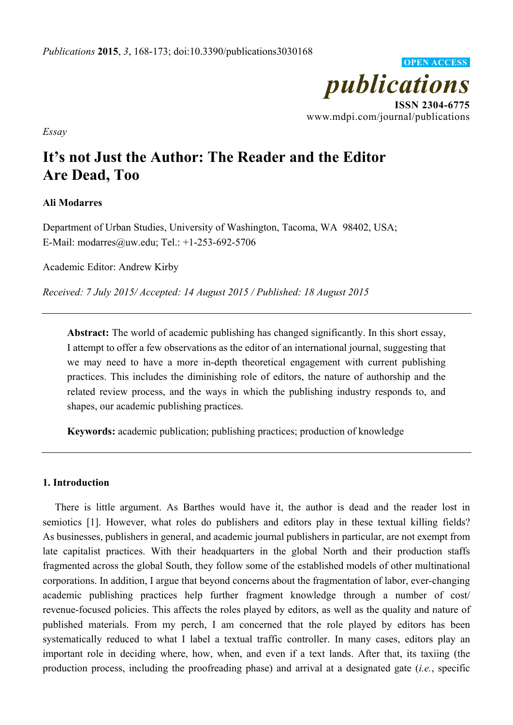

*Essay* 

# **It's not Just the Author: The Reader and the Editor Are Dead, Too**

# **Ali Modarres**

Department of Urban Studies, University of Washington, Tacoma, WA 98402, USA; E-Mail: modarres@uw.edu; Tel.: +1-253-692-5706

Academic Editor: Andrew Kirby

*Received: 7 July 2015/ Accepted: 14 August 2015 / Published: 18 August 2015* 

**Abstract:** The world of academic publishing has changed significantly. In this short essay, I attempt to offer a few observations as the editor of an international journal, suggesting that we may need to have a more in-depth theoretical engagement with current publishing practices. This includes the diminishing role of editors, the nature of authorship and the related review process, and the ways in which the publishing industry responds to, and shapes, our academic publishing practices.

**Keywords:** academic publication; publishing practices; production of knowledge

## **1. Introduction**

There is little argument. As Barthes would have it, the author is dead and the reader lost in semiotics [1]. However, what roles do publishers and editors play in these textual killing fields? As businesses, publishers in general, and academic journal publishers in particular, are not exempt from late capitalist practices. With their headquarters in the global North and their production staffs fragmented across the global South, they follow some of the established models of other multinational corporations. In addition, I argue that beyond concerns about the fragmentation of labor, ever-changing academic publishing practices help further fragment knowledge through a number of cost/ revenue-focused policies. This affects the roles played by editors, as well as the quality and nature of published materials. From my perch, I am concerned that the role played by editors has been systematically reduced to what I label a textual traffic controller. In many cases, editors play an important role in deciding where, how, when, and even if a text lands. After that, its taxiing (the production process, including the proofreading phase) and arrival at a designated gate (*i.e.*, specific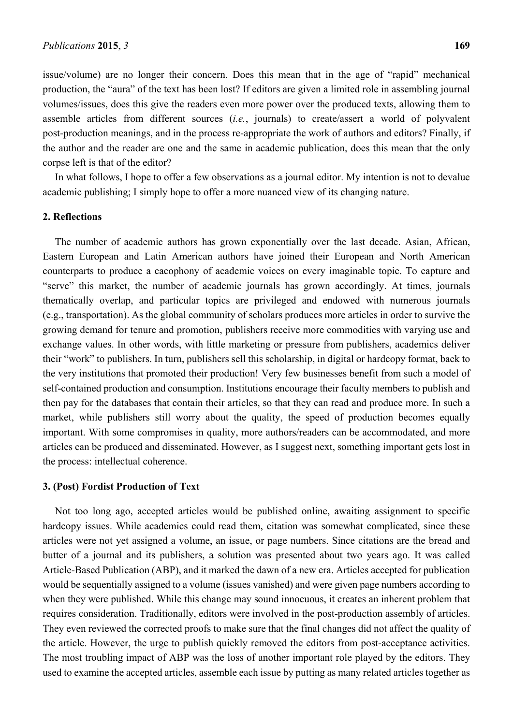issue/volume) are no longer their concern. Does this mean that in the age of "rapid" mechanical production, the "aura" of the text has been lost? If editors are given a limited role in assembling journal volumes/issues, does this give the readers even more power over the produced texts, allowing them to assemble articles from different sources (*i.e.*, journals) to create/assert a world of polyvalent post-production meanings, and in the process re-appropriate the work of authors and editors? Finally, if the author and the reader are one and the same in academic publication, does this mean that the only corpse left is that of the editor?

In what follows, I hope to offer a few observations as a journal editor. My intention is not to devalue academic publishing; I simply hope to offer a more nuanced view of its changing nature.

#### **2. Reflections**

The number of academic authors has grown exponentially over the last decade. Asian, African, Eastern European and Latin American authors have joined their European and North American counterparts to produce a cacophony of academic voices on every imaginable topic. To capture and "serve" this market, the number of academic journals has grown accordingly. At times, journals thematically overlap, and particular topics are privileged and endowed with numerous journals (e.g., transportation). As the global community of scholars produces more articles in order to survive the growing demand for tenure and promotion, publishers receive more commodities with varying use and exchange values. In other words, with little marketing or pressure from publishers, academics deliver their "work" to publishers. In turn, publishers sell this scholarship, in digital or hardcopy format, back to the very institutions that promoted their production! Very few businesses benefit from such a model of self-contained production and consumption. Institutions encourage their faculty members to publish and then pay for the databases that contain their articles, so that they can read and produce more. In such a market, while publishers still worry about the quality, the speed of production becomes equally important. With some compromises in quality, more authors/readers can be accommodated, and more articles can be produced and disseminated. However, as I suggest next, something important gets lost in the process: intellectual coherence.

#### **3. (Post) Fordist Production of Text**

Not too long ago, accepted articles would be published online, awaiting assignment to specific hardcopy issues. While academics could read them, citation was somewhat complicated, since these articles were not yet assigned a volume, an issue, or page numbers. Since citations are the bread and butter of a journal and its publishers, a solution was presented about two years ago. It was called Article-Based Publication (ABP), and it marked the dawn of a new era. Articles accepted for publication would be sequentially assigned to a volume (issues vanished) and were given page numbers according to when they were published. While this change may sound innocuous, it creates an inherent problem that requires consideration. Traditionally, editors were involved in the post-production assembly of articles. They even reviewed the corrected proofs to make sure that the final changes did not affect the quality of the article. However, the urge to publish quickly removed the editors from post-acceptance activities. The most troubling impact of ABP was the loss of another important role played by the editors. They used to examine the accepted articles, assemble each issue by putting as many related articles together as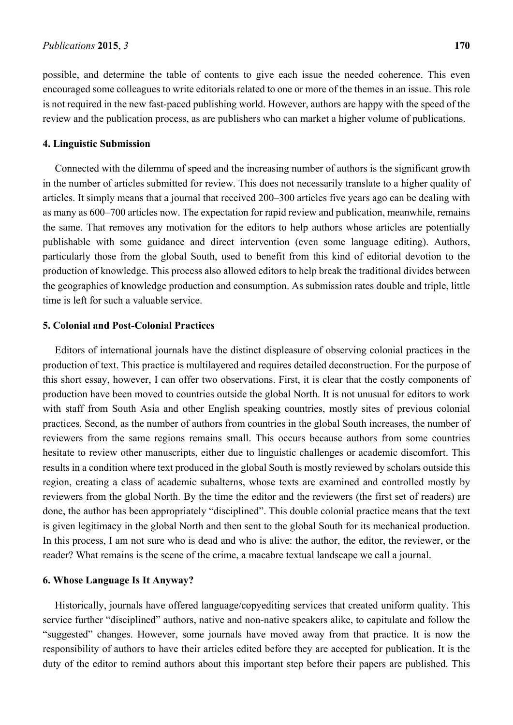possible, and determine the table of contents to give each issue the needed coherence. This even encouraged some colleagues to write editorials related to one or more of the themes in an issue. This role is not required in the new fast-paced publishing world. However, authors are happy with the speed of the review and the publication process, as are publishers who can market a higher volume of publications.

#### **4. Linguistic Submission**

Connected with the dilemma of speed and the increasing number of authors is the significant growth in the number of articles submitted for review. This does not necessarily translate to a higher quality of articles. It simply means that a journal that received 200–300 articles five years ago can be dealing with as many as 600–700 articles now. The expectation for rapid review and publication, meanwhile, remains the same. That removes any motivation for the editors to help authors whose articles are potentially publishable with some guidance and direct intervention (even some language editing). Authors, particularly those from the global South, used to benefit from this kind of editorial devotion to the production of knowledge. This process also allowed editors to help break the traditional divides between the geographies of knowledge production and consumption. As submission rates double and triple, little time is left for such a valuable service.

## **5. Colonial and Post-Colonial Practices**

Editors of international journals have the distinct displeasure of observing colonial practices in the production of text. This practice is multilayered and requires detailed deconstruction. For the purpose of this short essay, however, I can offer two observations. First, it is clear that the costly components of production have been moved to countries outside the global North. It is not unusual for editors to work with staff from South Asia and other English speaking countries, mostly sites of previous colonial practices. Second, as the number of authors from countries in the global South increases, the number of reviewers from the same regions remains small. This occurs because authors from some countries hesitate to review other manuscripts, either due to linguistic challenges or academic discomfort. This results in a condition where text produced in the global South is mostly reviewed by scholars outside this region, creating a class of academic subalterns, whose texts are examined and controlled mostly by reviewers from the global North. By the time the editor and the reviewers (the first set of readers) are done, the author has been appropriately "disciplined". This double colonial practice means that the text is given legitimacy in the global North and then sent to the global South for its mechanical production. In this process, I am not sure who is dead and who is alive: the author, the editor, the reviewer, or the reader? What remains is the scene of the crime, a macabre textual landscape we call a journal.

#### **6. Whose Language Is It Anyway?**

Historically, journals have offered language/copyediting services that created uniform quality. This service further "disciplined" authors, native and non-native speakers alike, to capitulate and follow the "suggested" changes. However, some journals have moved away from that practice. It is now the responsibility of authors to have their articles edited before they are accepted for publication. It is the duty of the editor to remind authors about this important step before their papers are published. This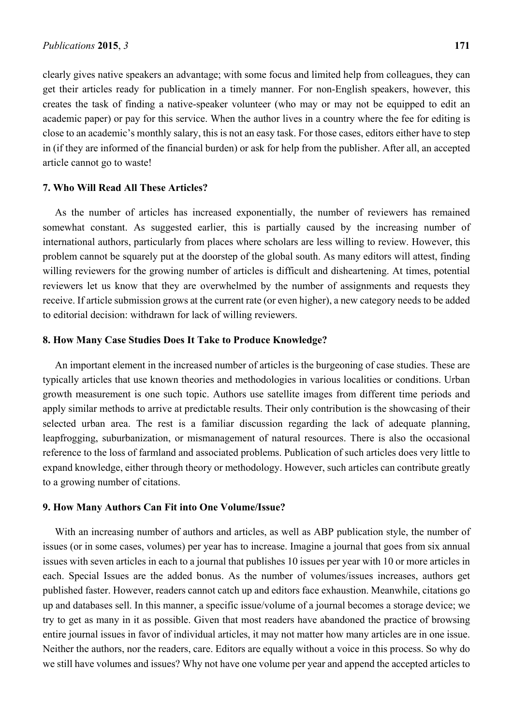clearly gives native speakers an advantage; with some focus and limited help from colleagues, they can get their articles ready for publication in a timely manner. For non-English speakers, however, this creates the task of finding a native-speaker volunteer (who may or may not be equipped to edit an academic paper) or pay for this service. When the author lives in a country where the fee for editing is close to an academic's monthly salary, this is not an easy task. For those cases, editors either have to step in (if they are informed of the financial burden) or ask for help from the publisher. After all, an accepted article cannot go to waste!

## **7. Who Will Read All These Articles?**

As the number of articles has increased exponentially, the number of reviewers has remained somewhat constant. As suggested earlier, this is partially caused by the increasing number of international authors, particularly from places where scholars are less willing to review. However, this problem cannot be squarely put at the doorstep of the global south. As many editors will attest, finding willing reviewers for the growing number of articles is difficult and disheartening. At times, potential reviewers let us know that they are overwhelmed by the number of assignments and requests they receive. If article submission grows at the current rate (or even higher), a new category needs to be added to editorial decision: withdrawn for lack of willing reviewers.

### **8. How Many Case Studies Does It Take to Produce Knowledge?**

An important element in the increased number of articles is the burgeoning of case studies. These are typically articles that use known theories and methodologies in various localities or conditions. Urban growth measurement is one such topic. Authors use satellite images from different time periods and apply similar methods to arrive at predictable results. Their only contribution is the showcasing of their selected urban area. The rest is a familiar discussion regarding the lack of adequate planning, leapfrogging, suburbanization, or mismanagement of natural resources. There is also the occasional reference to the loss of farmland and associated problems. Publication of such articles does very little to expand knowledge, either through theory or methodology. However, such articles can contribute greatly to a growing number of citations.

#### **9. How Many Authors Can Fit into One Volume/Issue?**

With an increasing number of authors and articles, as well as ABP publication style, the number of issues (or in some cases, volumes) per year has to increase. Imagine a journal that goes from six annual issues with seven articles in each to a journal that publishes 10 issues per year with 10 or more articles in each. Special Issues are the added bonus. As the number of volumes/issues increases, authors get published faster. However, readers cannot catch up and editors face exhaustion. Meanwhile, citations go up and databases sell. In this manner, a specific issue/volume of a journal becomes a storage device; we try to get as many in it as possible. Given that most readers have abandoned the practice of browsing entire journal issues in favor of individual articles, it may not matter how many articles are in one issue. Neither the authors, nor the readers, care. Editors are equally without a voice in this process. So why do we still have volumes and issues? Why not have one volume per year and append the accepted articles to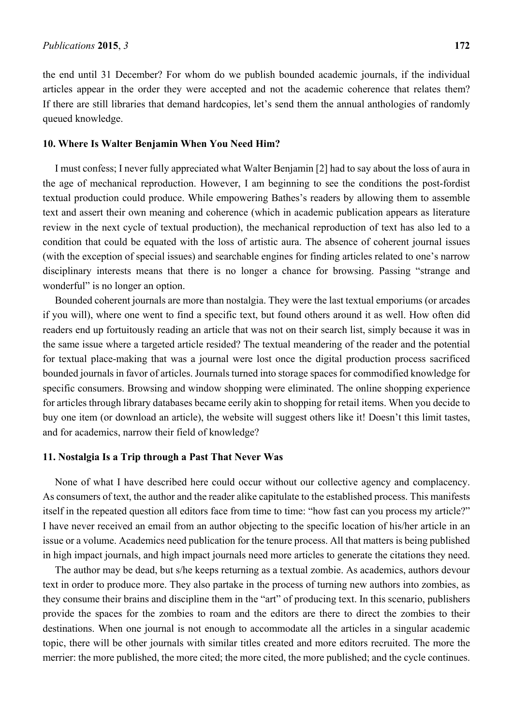the end until 31 December? For whom do we publish bounded academic journals, if the individual articles appear in the order they were accepted and not the academic coherence that relates them? If there are still libraries that demand hardcopies, let's send them the annual anthologies of randomly queued knowledge.

#### **10. Where Is Walter Benjamin When You Need Him?**

I must confess; I never fully appreciated what Walter Benjamin [2] had to say about the loss of aura in the age of mechanical reproduction. However, I am beginning to see the conditions the post-fordist textual production could produce. While empowering Bathes's readers by allowing them to assemble text and assert their own meaning and coherence (which in academic publication appears as literature review in the next cycle of textual production), the mechanical reproduction of text has also led to a condition that could be equated with the loss of artistic aura. The absence of coherent journal issues (with the exception of special issues) and searchable engines for finding articles related to one's narrow disciplinary interests means that there is no longer a chance for browsing. Passing "strange and wonderful" is no longer an option.

Bounded coherent journals are more than nostalgia. They were the last textual emporiums (or arcades if you will), where one went to find a specific text, but found others around it as well. How often did readers end up fortuitously reading an article that was not on their search list, simply because it was in the same issue where a targeted article resided? The textual meandering of the reader and the potential for textual place-making that was a journal were lost once the digital production process sacrificed bounded journals in favor of articles. Journals turned into storage spaces for commodified knowledge for specific consumers. Browsing and window shopping were eliminated. The online shopping experience for articles through library databases became eerily akin to shopping for retail items. When you decide to buy one item (or download an article), the website will suggest others like it! Doesn't this limit tastes, and for academics, narrow their field of knowledge?

## **11. Nostalgia Is a Trip through a Past That Never Was**

None of what I have described here could occur without our collective agency and complacency. As consumers of text, the author and the reader alike capitulate to the established process. This manifests itself in the repeated question all editors face from time to time: "how fast can you process my article?" I have never received an email from an author objecting to the specific location of his/her article in an issue or a volume. Academics need publication for the tenure process. All that matters is being published in high impact journals, and high impact journals need more articles to generate the citations they need.

The author may be dead, but s/he keeps returning as a textual zombie. As academics, authors devour text in order to produce more. They also partake in the process of turning new authors into zombies, as they consume their brains and discipline them in the "art" of producing text. In this scenario, publishers provide the spaces for the zombies to roam and the editors are there to direct the zombies to their destinations. When one journal is not enough to accommodate all the articles in a singular academic topic, there will be other journals with similar titles created and more editors recruited. The more the merrier: the more published, the more cited; the more cited, the more published; and the cycle continues.